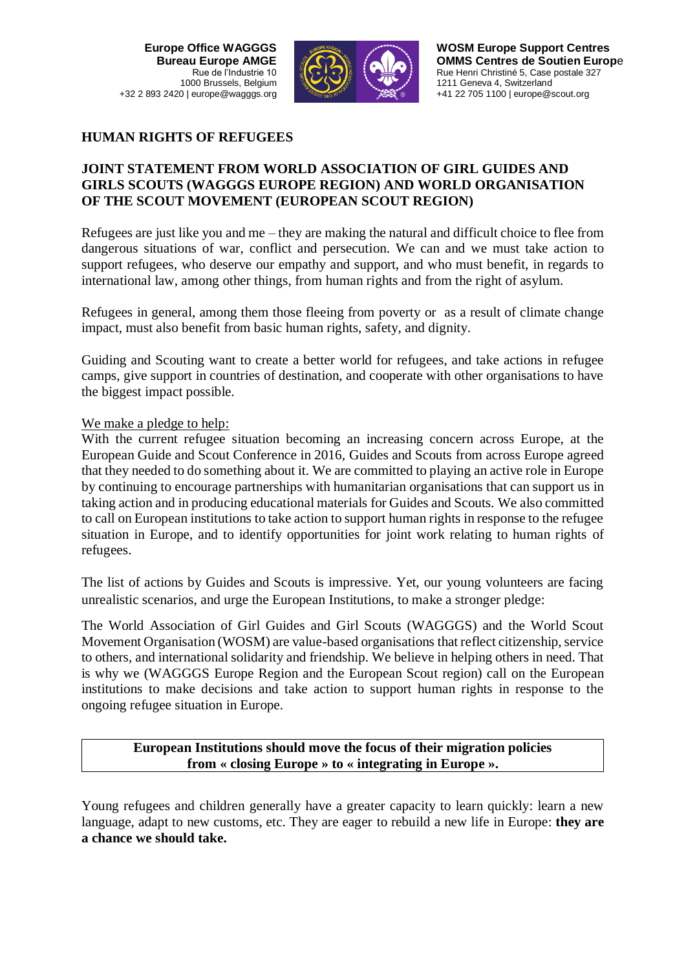**Europe Office WAGGGS Bureau Europe AMGE** Rue de l'Industrie 10 1000 Brussels, Belgium +32 2 893 2420 | europe@wagggs.org



# **HUMAN RIGHTS OF REFUGEES**

# **JOINT STATEMENT FROM WORLD ASSOCIATION OF GIRL GUIDES AND GIRLS SCOUTS (WAGGGS EUROPE REGION) AND WORLD ORGANISATION OF THE SCOUT MOVEMENT (EUROPEAN SCOUT REGION)**

Refugees are just like you and me – they are making the natural and difficult choice to flee from dangerous situations of war, conflict and persecution. We can and we must take action to support refugees, who deserve our empathy and support, and who must benefit, in regards to international law, among other things, from human rights and from the right of asylum.

Refugees in general, among them those fleeing from poverty or as a result of climate change impact, must also benefit from basic human rights, safety, and dignity.

Guiding and Scouting want to create a better world for refugees, and take actions in refugee camps, give support in countries of destination, and cooperate with other organisations to have the biggest impact possible.

#### We make a pledge to help:

With the current refugee situation becoming an increasing concern across Europe, at the European Guide and Scout Conference in 2016, Guides and Scouts from across Europe agreed that they needed to do something about it. We are committed to playing an active role in Europe by continuing to encourage partnerships with humanitarian organisations that can support us in taking action and in producing educational materials for Guides and Scouts. We also committed to call on European institutions to take action to support human rights in response to the refugee situation in Europe, and to identify opportunities for joint work relating to human rights of refugees.

The list of actions by Guides and Scouts is impressive. Yet, our young volunteers are facing unrealistic scenarios, and urge the European Institutions, to make a stronger pledge:

The World Association of Girl Guides and Girl Scouts (WAGGGS) and the World Scout Movement Organisation (WOSM) are value-based organisations that reflect citizenship, service to others, and international solidarity and friendship. We believe in helping others in need. That is why we (WAGGGS Europe Region and the European Scout region) call on the European institutions to make decisions and take action to support human rights in response to the ongoing refugee situation in Europe.

### **European Institutions should move the focus of their migration policies from « closing Europe » to « integrating in Europe ».**

Young refugees and children generally have a greater capacity to learn quickly: learn a new language, adapt to new customs, etc. They are eager to rebuild a new life in Europe: **they are a chance we should take.**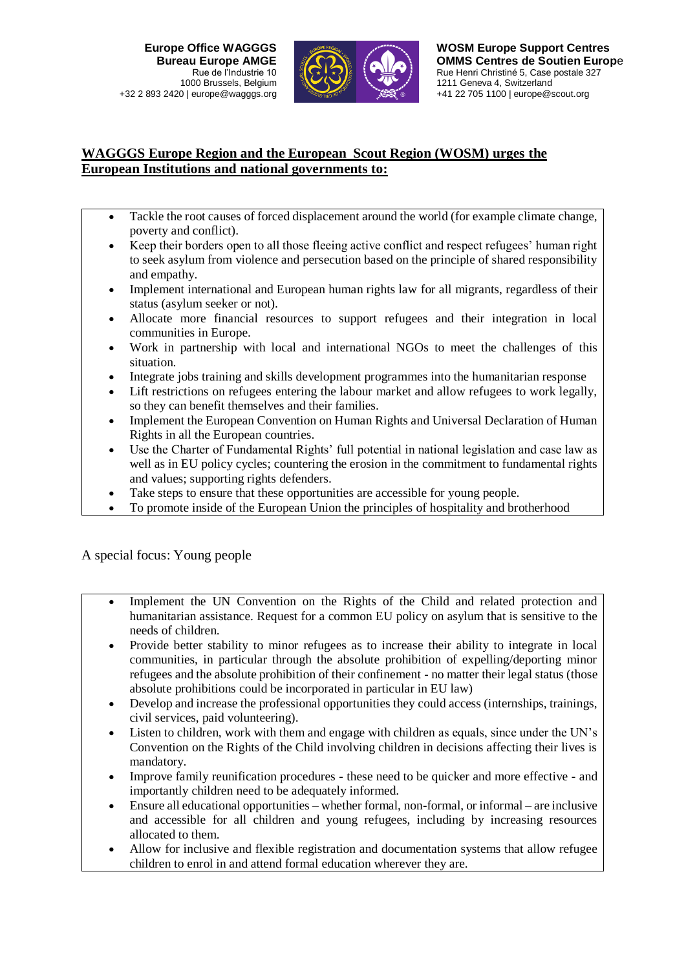

# **WAGGGS Europe Region and the European Scout Region (WOSM) urges the European Institutions and national governments to:**

- Tackle the root causes of forced displacement around the world (for example climate change, poverty and conflict).
- Keep their borders open to all those fleeing active conflict and respect refugees' human right to seek asylum from violence and persecution based on the principle of shared responsibility and empathy.
- Implement international and European human rights law for all migrants, regardless of their status (asylum seeker or not).
- Allocate more financial resources to support refugees and their integration in local communities in Europe.
- Work in partnership with local and international NGOs to meet the challenges of this situation.
- Integrate jobs training and skills development programmes into the humanitarian response
- Lift restrictions on refugees entering the labour market and allow refugees to work legally. so they can benefit themselves and their families.
- Implement the European Convention on Human Rights and Universal Declaration of Human Rights in all the European countries.
- Use the Charter of Fundamental Rights' full potential in national legislation and case law as well as in EU policy cycles; countering the erosion in the commitment to fundamental rights and values; supporting rights defenders.
- Take steps to ensure that these opportunities are accessible for young people.
- To promote inside of the European Union the principles of hospitality and brotherhood

A special focus: Young people

- Implement the UN Convention on the Rights of the Child and related protection and humanitarian assistance. Request for a common EU policy on asylum that is sensitive to the needs of children.
- Provide better stability to minor refugees as to increase their ability to integrate in local communities, in particular through the absolute prohibition of expelling/deporting minor refugees and the absolute prohibition of their confinement - no matter their legal status (those absolute prohibitions could be incorporated in particular in EU law)
- Develop and increase the professional opportunities they could access (internships, trainings, civil services, paid volunteering).
- Listen to children, work with them and engage with children as equals, since under the UN's Convention on the Rights of the Child involving children in decisions affecting their lives is mandatory.
- Improve family reunification procedures these need to be quicker and more effective and importantly children need to be adequately informed.
- Ensure all educational opportunities whether formal, non-formal, or informal are inclusive and accessible for all children and young refugees, including by increasing resources allocated to them.
- Allow for inclusive and flexible registration and documentation systems that allow refugee children to enrol in and attend formal education wherever they are.